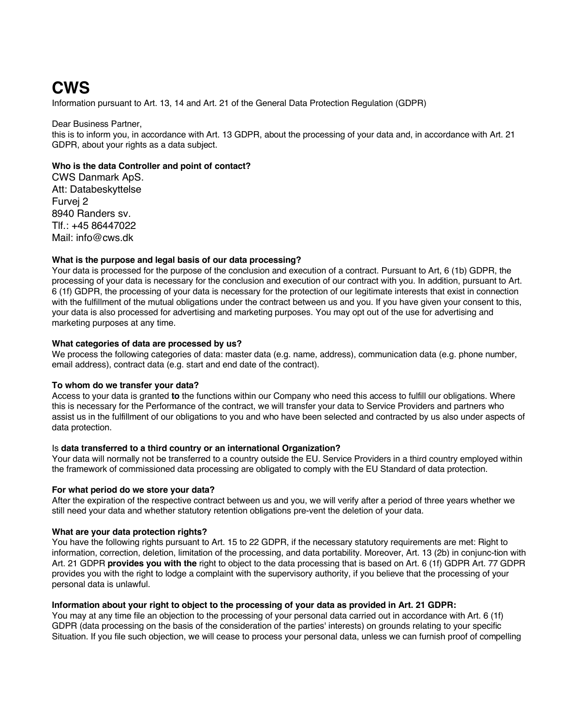# **CWS**

Information pursuant to Art. 13, 14 and Art. 21 of the General Data Protection Regulation (GDPR)

#### Dear Business Partner, this is to inform you, in accordance with Art. 13 GDPR, about the processing of your data and, in accordance with Art. 21 GDPR, about your rights as a data subject.

## **Who is the data Controller and point of contact?**

CWS Danmark ApS. Att: Databeskyttelse Furvej 2 8940 Randers sv. Tlf.: +45 86447022 Mail: info@cws.dk

## **What is the purpose and legal basis of our data processing?**

Your data is processed for the purpose of the conclusion and execution of a contract. Pursuant to Art, 6 (1b) GDPR, the processing of your data is necessary for the conclusion and execution of our contract with you. In addition, pursuant to Art. 6 (1f) GDPR, the processing of your data is necessary for the protection of our legitimate interests that exist in connection with the fulfillment of the mutual obligations under the contract between us and you. If you have given your consent to this, your data is also processed for advertising and marketing purposes. You may opt out of the use for advertising and marketing purposes at any time.

## **What categories of data are processed by us?**

We process the following categories of data: master data (e.g. name, address), communication data (e.g. phone number, email address), contract data (e.g. start and end date of the contract).

## **To whom do we transfer your data?**

Access to your data is granted **to** the functions within our Company who need this access to fulfill our obligations. Where this is necessary for the Performance of the contract, we will transfer your data to Service Providers and partners who assist us in the fulfillment of our obligations to you and who have been selected and contracted by us also under aspects of data protection.

## Is **data transferred to a third country or an international Organization?**

Your data will normally not be transferred to a country outside the EU. Service Providers in a third country employed within the framework of commissioned data processing are obligated to comply with the EU Standard of data protection.

## **For what period do we store your data?**

After the expiration of the respective contract between us and you, we will verify after a period of three years whether we still need your data and whether statutory retention obligations pre-vent the deletion of your data.

## **What are your data protection rights?**

You have the following rights pursuant to Art. 15 to 22 GDPR, if the necessary statutory requirements are met: Right to information, correction, deletion, limitation of the processing, and data portability. Moreover, Art. 13 (2b) in conjunc-tion with Art. 21 GDPR **provides you with the** right to object to the data processing that is based on Art. 6 (1f) GDPR Art. 77 GDPR provides you with the right to lodge a complaint with the supervisory authority, if you believe that the processing of your personal data is unlawful.

## **Information about your right to object to the processing of your data as provided in Art. 21 GDPR:**

You may at any time file an objection to the processing of your personal data carried out in accordance with Art. 6 (1f) GDPR (data processing on the basis of the consideration of the parties' interests) on grounds relating to your specific Situation. If you file such objection, we will cease to process your personal data, unless we can furnish proof of compelling